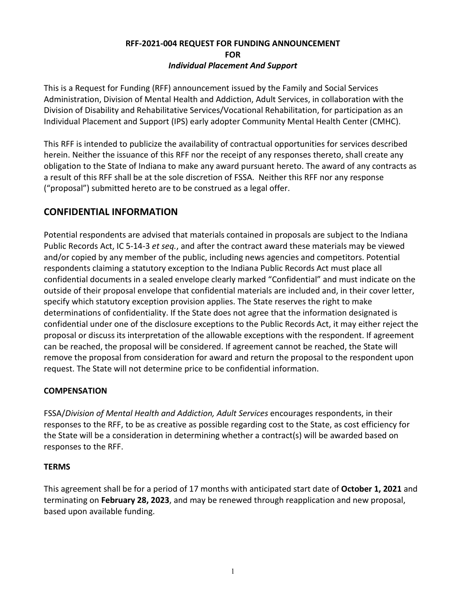## **RFF-2021-004 REQUEST FOR FUNDING ANNOUNCEMENT FOR** *Individual Placement And Support*

This is a Request for Funding (RFF) announcement issued by the Family and Social Services Administration, Division of Mental Health and Addiction, Adult Services, in collaboration with the Division of Disability and Rehabilitative Services/Vocational Rehabilitation, for participation as an Individual Placement and Support (IPS) early adopter Community Mental Health Center (CMHC).

This RFF is intended to publicize the availability of contractual opportunities for services described herein. Neither the issuance of this RFF nor the receipt of any responses thereto, shall create any obligation to the State of Indiana to make any award pursuant hereto. The award of any contracts as a result of this RFF shall be at the sole discretion of FSSA. Neither this RFF nor any response ("proposal") submitted hereto are to be construed as a legal offer.

# **CONFIDENTIAL INFORMATION**

Potential respondents are advised that materials contained in proposals are subject to the Indiana Public Records Act, IC 5-14-3 *et seq.*, and after the contract award these materials may be viewed and/or copied by any member of the public, including news agencies and competitors. Potential respondents claiming a statutory exception to the Indiana Public Records Act must place all confidential documents in a sealed envelope clearly marked "Confidential" and must indicate on the outside of their proposal envelope that confidential materials are included and, in their cover letter, specify which statutory exception provision applies. The State reserves the right to make determinations of confidentiality. If the State does not agree that the information designated is confidential under one of the disclosure exceptions to the Public Records Act, it may either reject the proposal or discuss its interpretation of the allowable exceptions with the respondent. If agreement can be reached, the proposal will be considered. If agreement cannot be reached, the State will remove the proposal from consideration for award and return the proposal to the respondent upon request. The State will not determine price to be confidential information.

## **COMPENSATION**

FSSA/*Division of Mental Health and Addiction, Adult Services* encourages respondents, in their responses to the RFF, to be as creative as possible regarding cost to the State, as cost efficiency for the State will be a consideration in determining whether a contract(s) will be awarded based on responses to the RFF.

## **TERMS**

This agreement shall be for a period of 17 months with anticipated start date of **October 1, 2021** and terminating on **February 28, 2023**, and may be renewed through reapplication and new proposal, based upon available funding.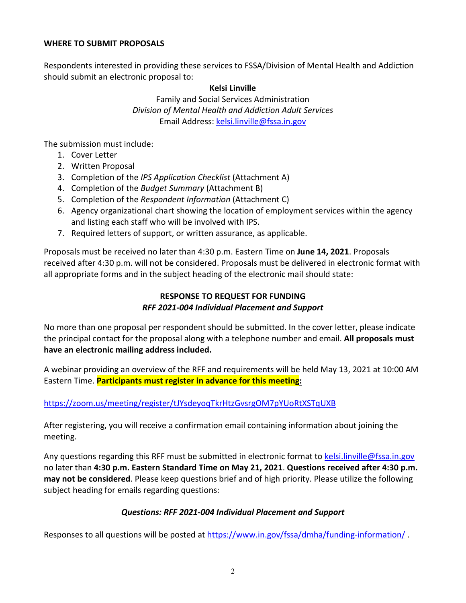### **WHERE TO SUBMIT PROPOSALS**

Respondents interested in providing these services to FSSA/Division of Mental Health and Addiction should submit an electronic proposal to:

### **Kelsi Linville**

Family and Social Services Administration *Division of Mental Health and Addiction Adult Services* Email Address: [kelsi.linville@fssa.in.gov](mailto:kelsi.linville@fssa.in.gov)

The submission must include:

- 1. Cover Letter
- 2. Written Proposal
- 3. Completion of the *IPS Application Checklist* (Attachment A)
- 4. Completion of the *Budget Summary* (Attachment B)
- 5. Completion of the *Respondent Information* (Attachment C)
- 6. Agency organizational chart showing the location of employment services within the agency and listing each staff who will be involved with IPS.
- 7. Required letters of support, or written assurance, as applicable.

Proposals must be received no later than 4:30 p.m. Eastern Time on **June 14, 2021**. Proposals received after 4:30 p.m. will not be considered. Proposals must be delivered in electronic format with all appropriate forms and in the subject heading of the electronic mail should state:

## **RESPONSE TO REQUEST FOR FUNDING** *RFF 2021-004 Individual Placement and Support*

No more than one proposal per respondent should be submitted. In the cover letter, please indicate the principal contact for the proposal along with a telephone number and email. **All proposals must have an electronic mailing address included.** 

A webinar providing an overview of the RFF and requirements will be held May 13, 2021 at 10:00 AM Eastern Time. **Participants must register in advance for this meeting:**

## <https://zoom.us/meeting/register/tJYsdeyoqTkrHtzGvsrgOM7pYUoRtXSTqUXB>

After registering, you will receive a confirmation email containing information about joining the meeting.

Any questions regarding this RFF must be submitted in electronic format to [kelsi.linville@fssa.in.gov](mailto:kelsi.linville@fssa.in.gov) no later than **4:30 p.m. Eastern Standard Time on May 21, 2021**. **Questions received after 4:30 p.m. may not be considered**. Please keep questions brief and of high priority. Please utilize the following subject heading for emails regarding questions:

## *Questions: RFF 2021-004 Individual Placement and Support*

Responses to all questions will be posted at<https://www.in.gov/fssa/dmha/funding-information/>.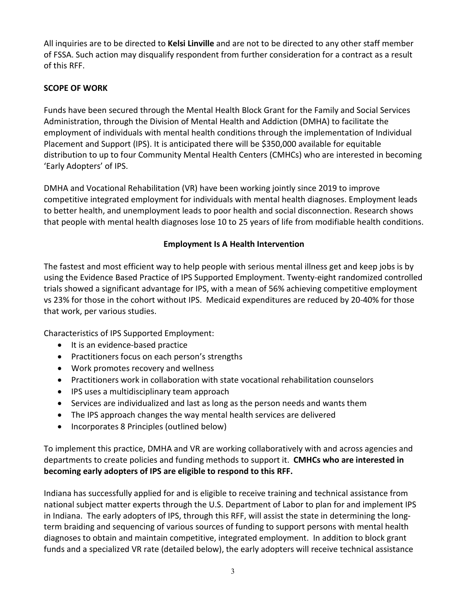All inquiries are to be directed to **Kelsi Linville** and are not to be directed to any other staff member of FSSA. Such action may disqualify respondent from further consideration for a contract as a result of this RFF.

## **SCOPE OF WORK**

Funds have been secured through the Mental Health Block Grant for the Family and Social Services Administration, through the Division of Mental Health and Addiction (DMHA) to facilitate the employment of individuals with mental health conditions through the implementation of Individual Placement and Support (IPS). It is anticipated there will be \$350,000 available for equitable distribution to up to four Community Mental Health Centers (CMHCs) who are interested in becoming 'Early Adopters' of IPS.

DMHA and Vocational Rehabilitation (VR) have been working jointly since 2019 to improve competitive integrated employment for individuals with mental health diagnoses. Employment leads to better health, and unemployment leads to poor health and social disconnection. Research shows that people with mental health diagnoses lose 10 to 25 years of life from modifiable health conditions.

## **Employment Is A Health Intervention**

The fastest and most efficient way to help people with serious mental illness get and keep jobs is by using the Evidence Based Practice of IPS Supported Employment. Twenty-eight randomized controlled trials showed a significant advantage for IPS, with a mean of 56% achieving competitive employment vs 23% for those in the cohort without IPS. Medicaid expenditures are reduced by 20-40% for those that work, per various studies.

Characteristics of IPS Supported Employment:

- It is an evidence-based practice
- Practitioners focus on each person's strengths
- Work promotes recovery and wellness
- Practitioners work in collaboration with state vocational rehabilitation counselors
- IPS uses a multidisciplinary team approach
- Services are individualized and last as long as the person needs and wants them
- The IPS approach changes the way mental health services are delivered
- Incorporates 8 Principles (outlined below)

To implement this practice, DMHA and VR are working collaboratively with and across agencies and departments to create policies and funding methods to support it. **CMHCs who are interested in becoming early adopters of IPS are eligible to respond to this RFF.**

Indiana has successfully applied for and is eligible to receive training and technical assistance from national subject matter experts through the U.S. Department of Labor to plan for and implement IPS in Indiana. The early adopters of IPS, through this RFF, will assist the state in determining the longterm braiding and sequencing of various sources of funding to support persons with mental health diagnoses to obtain and maintain competitive, integrated employment. In addition to block grant funds and a specialized VR rate (detailed below), the early adopters will receive technical assistance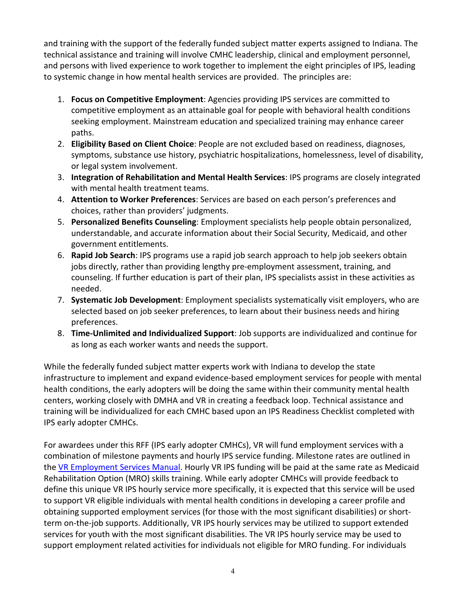and training with the support of the federally funded subject matter experts assigned to Indiana. The technical assistance and training will involve CMHC leadership, clinical and employment personnel, and persons with lived experience to work together to implement the eight principles of IPS, leading to systemic change in how mental health services are provided. The principles are:

- 1. **Focus on Competitive Employment**: Agencies providing IPS services are committed to competitive employment as an attainable goal for people with behavioral health conditions seeking employment. Mainstream education and specialized training may enhance career paths.
- 2. **Eligibility Based on Client Choice**: People are not excluded based on readiness, diagnoses, symptoms, substance use history, psychiatric hospitalizations, homelessness, level of disability, or legal system involvement.
- 3. **Integration of Rehabilitation and Mental Health Services**: IPS programs are closely integrated with mental health treatment teams.
- 4. **Attention to Worker Preferences**: Services are based on each person's preferences and choices, rather than providers' judgments.
- 5. **Personalized Benefits Counseling**: Employment specialists help people obtain personalized, understandable, and accurate information about their Social Security, Medicaid, and other government entitlements.
- 6. **Rapid Job Search**: IPS programs use a rapid job search approach to help job seekers obtain jobs directly, rather than providing lengthy pre-employment assessment, training, and counseling. If further education is part of their plan, IPS specialists assist in these activities as needed.
- 7. **Systematic Job Development**: Employment specialists systematically visit employers, who are selected based on job seeker preferences, to learn about their business needs and hiring preferences.
- 8. **Time-Unlimited and Individualized Support**: Job supports are individualized and continue for as long as each worker wants and needs the support.

While the federally funded subject matter experts work with Indiana to develop the state infrastructure to implement and expand evidence-based employment services for people with mental health conditions, the early adopters will be doing the same within their community mental health centers, working closely with DMHA and VR in creating a feedback loop. Technical assistance and training will be individualized for each CMHC based upon an IPS Readiness Checklist completed with IPS early adopter CMHCs.

For awardees under this RFF (IPS early adopter CMHCs), VR will fund employment services with a combination of milestone payments and hourly IPS service funding. Milestone rates are outlined in th[e VR Employment Services Manual.](https://www.in.gov/fssa/ddrs/files/VR-Manual-of-Employment-Services-February-2019.pdf) Hourly VR IPS funding will be paid at the same rate as Medicaid Rehabilitation Option (MRO) skills training. While early adopter CMHCs will provide feedback to define this unique VR IPS hourly service more specifically, it is expected that this service will be used to support VR eligible individuals with mental health conditions in developing a career profile and obtaining supported employment services (for those with the most significant disabilities) or shortterm on-the-job supports. Additionally, VR IPS hourly services may be utilized to support extended services for youth with the most significant disabilities. The VR IPS hourly service may be used to support employment related activities for individuals not eligible for MRO funding. For individuals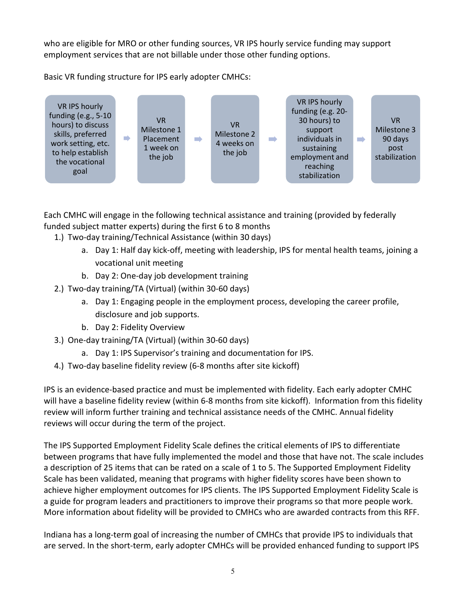who are eligible for MRO or other funding sources, VR IPS hourly service funding may support employment services that are not billable under those other funding options.

Basic VR funding structure for IPS early adopter CMHCs:



Each CMHC will engage in the following technical assistance and training (provided by federally funded subject matter experts) during the first 6 to 8 months

- 1.) Two-day training/Technical Assistance (within 30 days)
	- a. Day 1: Half day kick-off, meeting with leadership, IPS for mental health teams, joining a vocational unit meeting
	- b. Day 2: One-day job development training
- 2.) Two-day training/TA (Virtual) (within 30-60 days)
	- a. Day 1: Engaging people in the employment process, developing the career profile, disclosure and job supports.
	- b. Day 2: Fidelity Overview
- 3.) One-day training/TA (Virtual) (within 30-60 days)
	- a. Day 1: IPS Supervisor's training and documentation for IPS.
- 4.) Two-day baseline fidelity review (6-8 months after site kickoff)

IPS is an evidence-based practice and must be implemented with fidelity. Each early adopter CMHC will have a baseline fidelity review (within 6-8 months from site kickoff). Information from this fidelity review will inform further training and technical assistance needs of the CMHC. Annual fidelity reviews will occur during the term of the project.

The IPS Supported Employment Fidelity Scale defines the critical elements of IPS to differentiate between programs that have fully implemented the model and those that have not. The scale includes a description of 25 items that can be rated on a scale of 1 to 5. The Supported Employment Fidelity Scale has been validated, meaning that programs with higher fidelity scores have been shown to achieve higher employment outcomes for IPS clients. The IPS Supported Employment Fidelity Scale is a guide for program leaders and practitioners to improve their programs so that more people work. More information about fidelity will be provided to CMHCs who are awarded contracts from this RFF.

Indiana has a long-term goal of increasing the number of CMHCs that provide IPS to individuals that are served. In the short-term, early adopter CMHCs will be provided enhanced funding to support IPS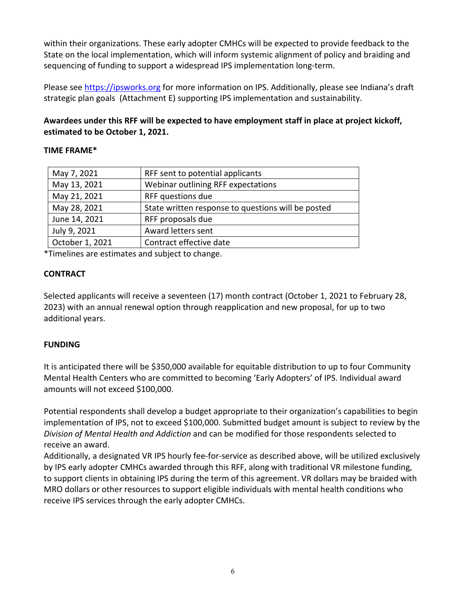within their organizations. These early adopter CMHCs will be expected to provide feedback to the State on the local implementation, which will inform systemic alignment of policy and braiding and sequencing of funding to support a widespread IPS implementation long-term.

Please see [https://ipsworks.org](https://ipsworks.org/) for more information on IPS. Additionally, please see Indiana's draft strategic plan goals (Attachment E) supporting IPS implementation and sustainability.

**Awardees under this RFF will be expected to have employment staff in place at project kickoff, estimated to be October 1, 2021.** 

## **TIME FRAME\***

| May 7, 2021     | RFF sent to potential applicants                   |
|-----------------|----------------------------------------------------|
| May 13, 2021    | Webinar outlining RFF expectations                 |
| May 21, 2021    | RFF questions due                                  |
| May 28, 2021    | State written response to questions will be posted |
| June 14, 2021   | RFF proposals due                                  |
| July 9, 2021    | Award letters sent                                 |
| October 1, 2021 | Contract effective date                            |
|                 |                                                    |

\*Timelines are estimates and subject to change.

## **CONTRACT**

Selected applicants will receive a seventeen (17) month contract (October 1, 2021 to February 28, 2023) with an annual renewal option through reapplication and new proposal, for up to two additional years.

## **FUNDING**

It is anticipated there will be \$350,000 available for equitable distribution to up to four Community Mental Health Centers who are committed to becoming 'Early Adopters' of IPS. Individual award amounts will not exceed \$100,000.

Potential respondents shall develop a budget appropriate to their organization's capabilities to begin implementation of IPS, not to exceed \$100,000. Submitted budget amount is subject to review by the *Division of Mental Health and Addiction* and can be modified for those respondents selected to receive an award.

Additionally, a designated VR IPS hourly fee-for-service as described above, will be utilized exclusively by IPS early adopter CMHCs awarded through this RFF, along with traditional VR milestone funding, to support clients in obtaining IPS during the term of this agreement. VR dollars may be braided with MRO dollars or other resources to support eligible individuals with mental health conditions who receive IPS services through the early adopter CMHCs.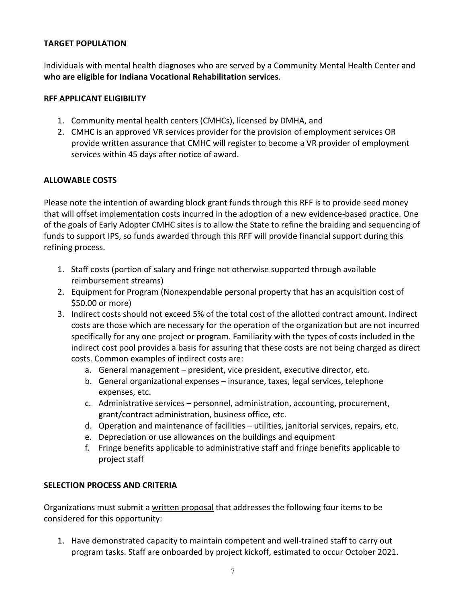### **TARGET POPULATION**

Individuals with mental health diagnoses who are served by a Community Mental Health Center and **who are eligible for Indiana Vocational Rehabilitation services**.

### **RFF APPLICANT ELIGIBILITY**

- 1. Community mental health centers (CMHCs), licensed by DMHA, and
- 2. CMHC is an approved VR services provider for the provision of employment services OR provide written assurance that CMHC will register to become a VR provider of employment services within 45 days after notice of award.

## **ALLOWABLE COSTS**

Please note the intention of awarding block grant funds through this RFF is to provide seed money that will offset implementation costs incurred in the adoption of a new evidence-based practice. One of the goals of Early Adopter CMHC sites is to allow the State to refine the braiding and sequencing of funds to support IPS, so funds awarded through this RFF will provide financial support during this refining process.

- 1. Staff costs (portion of salary and fringe not otherwise supported through available reimbursement streams)
- 2. Equipment for Program (Nonexpendable personal property that has an acquisition cost of \$50.00 or more)
- 3. Indirect costs should not exceed 5% of the total cost of the allotted contract amount. Indirect costs are those which are necessary for the operation of the organization but are not incurred specifically for any one project or program. Familiarity with the types of costs included in the indirect cost pool provides a basis for assuring that these costs are not being charged as direct costs. Common examples of indirect costs are:
	- a. General management president, vice president, executive director, etc.
	- b. General organizational expenses insurance, taxes, legal services, telephone expenses, etc.
	- c. Administrative services personnel, administration, accounting, procurement, grant/contract administration, business office, etc.
	- d. Operation and maintenance of facilities utilities, janitorial services, repairs, etc.
	- e. Depreciation or use allowances on the buildings and equipment
	- f. Fringe benefits applicable to administrative staff and fringe benefits applicable to project staff

## **SELECTION PROCESS AND CRITERIA**

Organizations must submit a written proposal that addresses the following four items to be considered for this opportunity:

1. Have demonstrated capacity to maintain competent and well-trained staff to carry out program tasks. Staff are onboarded by project kickoff, estimated to occur October 2021.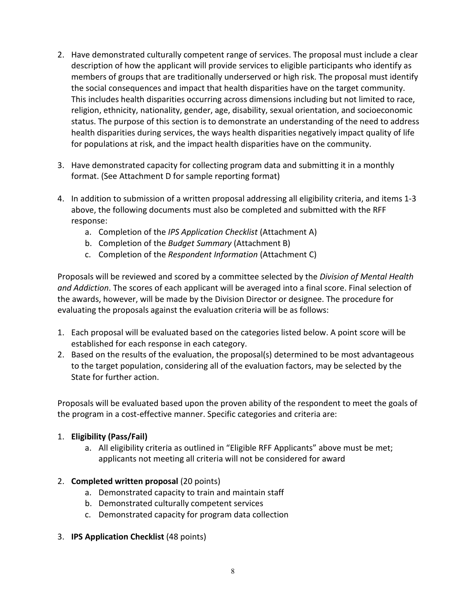- 2. Have demonstrated culturally competent range of services. The proposal must include a clear description of how the applicant will provide services to eligible participants who identify as members of groups that are traditionally underserved or high risk. The proposal must identify the social consequences and impact that health disparities have on the target community. This includes health disparities occurring across dimensions including but not limited to race, religion, ethnicity, nationality, gender, age, disability, sexual orientation, and socioeconomic status. The purpose of this section is to demonstrate an understanding of the need to address health disparities during services, the ways health disparities negatively impact quality of life for populations at risk, and the impact health disparities have on the community.
- 3. Have demonstrated capacity for collecting program data and submitting it in a monthly format. (See Attachment D for sample reporting format)
- 4. In addition to submission of a written proposal addressing all eligibility criteria, and items 1-3 above, the following documents must also be completed and submitted with the RFF response:
	- a. Completion of the *IPS Application Checklist* (Attachment A)
	- b. Completion of the *Budget Summary* (Attachment B)
	- c. Completion of the *Respondent Information* (Attachment C)

Proposals will be reviewed and scored by a committee selected by the *Division of Mental Health and Addiction*. The scores of each applicant will be averaged into a final score. Final selection of the awards, however, will be made by the Division Director or designee. The procedure for evaluating the proposals against the evaluation criteria will be as follows:

- 1. Each proposal will be evaluated based on the categories listed below. A point score will be established for each response in each category.
- 2. Based on the results of the evaluation, the proposal(s) determined to be most advantageous to the target population, considering all of the evaluation factors, may be selected by the State for further action.

Proposals will be evaluated based upon the proven ability of the respondent to meet the goals of the program in a cost-effective manner. Specific categories and criteria are:

## 1. **Eligibility (Pass/Fail)**

a. All eligibility criteria as outlined in "Eligible RFF Applicants" above must be met; applicants not meeting all criteria will not be considered for award

## 2. **Completed written proposal** (20 points)

- a. Demonstrated capacity to train and maintain staff
- b. Demonstrated culturally competent services
- c. Demonstrated capacity for program data collection
- 3. **IPS Application Checklist** (48 points)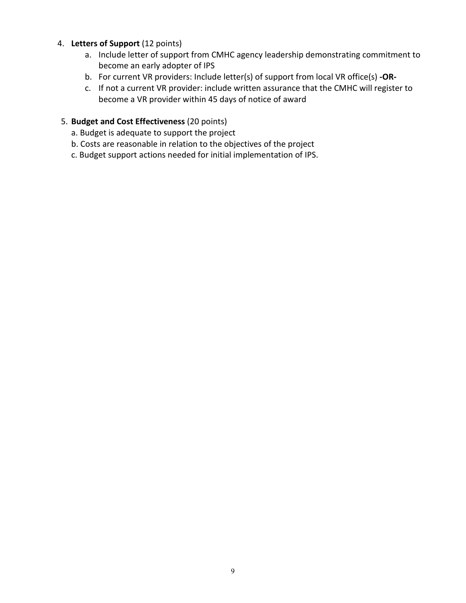## 4. **Letters of Support** (12 points)

- a. Include letter of support from CMHC agency leadership demonstrating commitment to become an early adopter of IPS
- b. For current VR providers: Include letter(s) of support from local VR office(s) **-OR-**
- c. If not a current VR provider: include written assurance that the CMHC will register to become a VR provider within 45 days of notice of award

## 5. **Budget and Cost Effectiveness** (20 points)

- a. Budget is adequate to support the project
- b. Costs are reasonable in relation to the objectives of the project
- c. Budget support actions needed for initial implementation of IPS.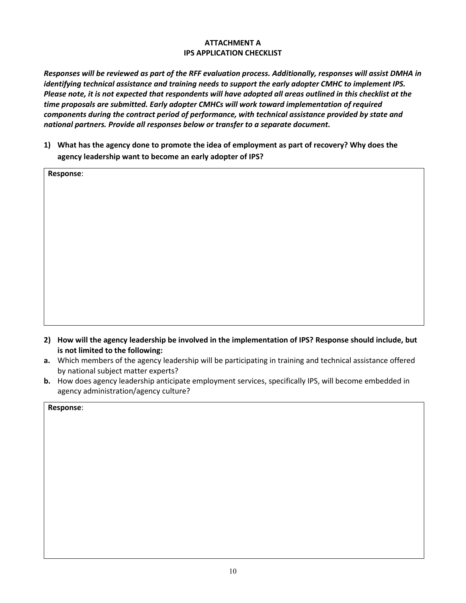### **ATTACHMENT A IPS APPLICATION CHECKLIST**

*Responses will be reviewed as part of the RFF evaluation process. Additionally, responses will assist DMHA in identifying technical assistance and training needs to support the early adopter CMHC to implement IPS. Please note, it is not expected that respondents will have adopted all areas outlined in this checklist at the time proposals are submitted. Early adopter CMHCs will work toward implementation of required components during the contract period of performance, with technical assistance provided by state and national partners. Provide all responses below or transfer to a separate document.*

**1) What has the agency done to promote the idea of employment as part of recovery? Why does the agency leadership want to become an early adopter of IPS?** 

| Response: |  |
|-----------|--|
|           |  |
|           |  |
|           |  |
|           |  |
|           |  |
|           |  |
|           |  |
|           |  |
|           |  |
|           |  |

- **2) How will the agency leadership be involved in the implementation of IPS? Response should include, but is not limited to the following:**
- **a.** Which members of the agency leadership will be participating in training and technical assistance offered by national subject matter experts?
- **b.** How does agency leadership anticipate employment services, specifically IPS, will become embedded in agency administration/agency culture?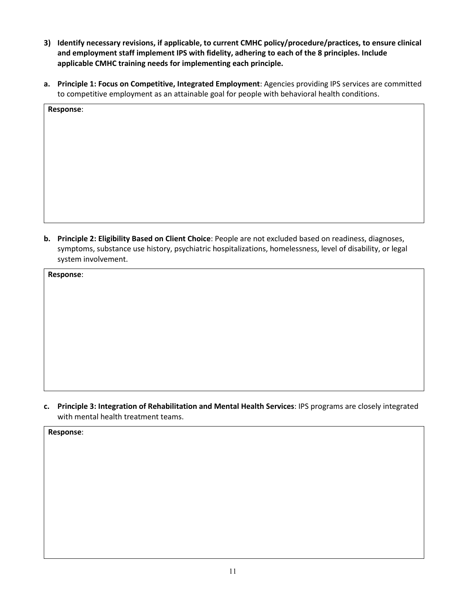- **3) Identify necessary revisions, if applicable, to current CMHC policy/procedure/practices, to ensure clinical and employment staff implement IPS with fidelity, adhering to each of the 8 principles. Include applicable CMHC training needs for implementing each principle.**
- **a. Principle 1: Focus on Competitive, Integrated Employment**: Agencies providing IPS services are committed to competitive employment as an attainable goal for people with behavioral health conditions.

| Response: |  |  |
|-----------|--|--|
|           |  |  |
|           |  |  |
|           |  |  |
|           |  |  |
|           |  |  |
|           |  |  |
|           |  |  |
|           |  |  |

**b. Principle 2: Eligibility Based on Client Choice**: People are not excluded based on readiness, diagnoses, symptoms, substance use history, psychiatric hospitalizations, homelessness, level of disability, or legal system involvement.

**Response**:

**c. Principle 3: Integration of Rehabilitation and Mental Health Services**: IPS programs are closely integrated with mental health treatment teams.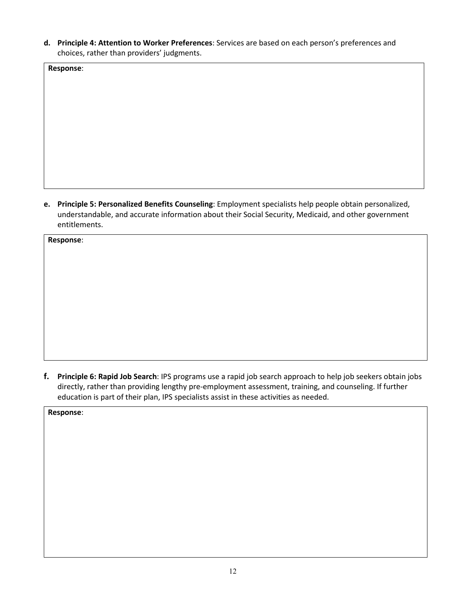**d. Principle 4: Attention to Worker Preferences**: Services are based on each person's preferences and choices, rather than providers' judgments.

**Response**:

**e. Principle 5: Personalized Benefits Counseling**: Employment specialists help people obtain personalized, understandable, and accurate information about their Social Security, Medicaid, and other government entitlements.

**Response**:

**f. Principle 6: Rapid Job Search**: IPS programs use a rapid job search approach to help job seekers obtain jobs directly, rather than providing lengthy pre-employment assessment, training, and counseling. If further education is part of their plan, IPS specialists assist in these activities as needed.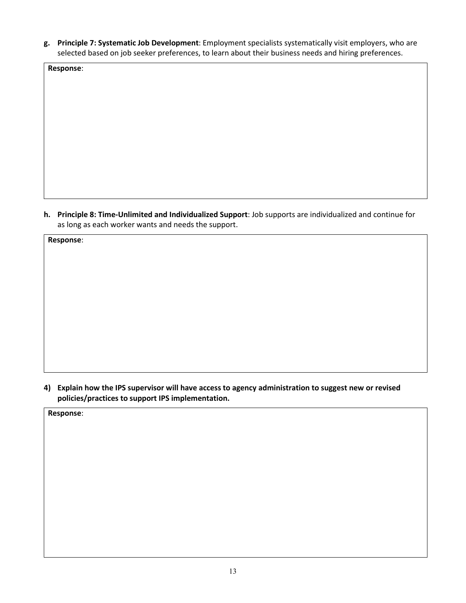**g. Principle 7: Systematic Job Development**: Employment specialists systematically visit employers, who are selected based on job seeker preferences, to learn about their business needs and hiring preferences.

**Response**:

**h. Principle 8: Time-Unlimited and Individualized Support**: Job supports are individualized and continue for as long as each worker wants and needs the support.

**Response**:

**4) Explain how the IPS supervisor will have access to agency administration to suggest new or revised policies/practices to support IPS implementation.**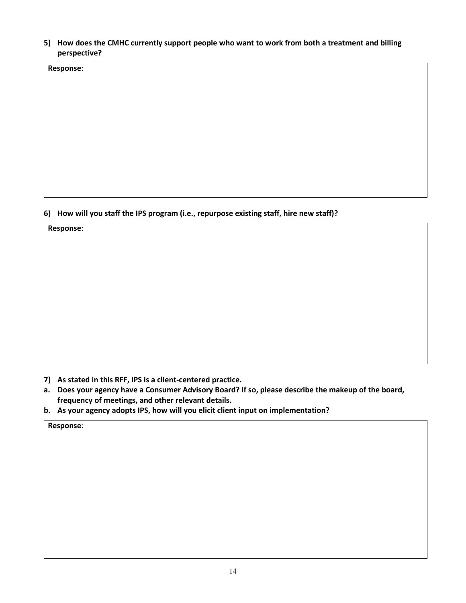**5) How does the CMHC currently support people who want to work from both a treatment and billing perspective?** 

**Response**:

## **6) How will you staff the IPS program (i.e., repurpose existing staff, hire new staff)?**

**Response**:

- **7) As stated in this RFF, IPS is a client-centered practice.**
- **a. Does your agency have a Consumer Advisory Board? If so, please describe the makeup of the board, frequency of meetings, and other relevant details.**
- **b. As your agency adopts IPS, how will you elicit client input on implementation?**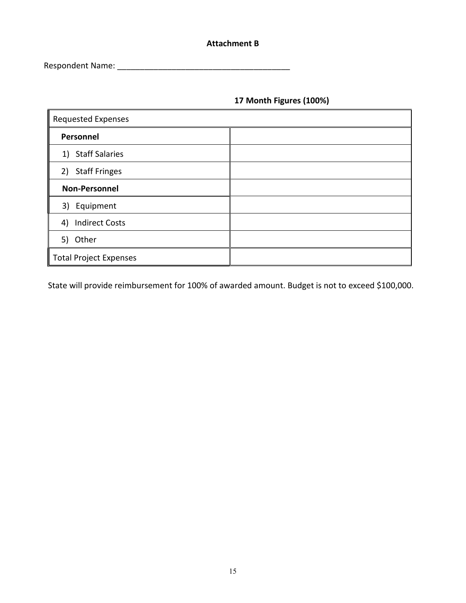## **Attachment B**

Respondent Name: \_\_\_\_\_\_\_\_\_\_\_\_\_\_\_\_\_\_\_\_\_\_\_\_\_\_\_\_\_\_\_\_\_\_\_\_\_\_

## **17 Month Figures (100%)**

| <b>Requested Expenses</b>     |  |  |
|-------------------------------|--|--|
| Personnel                     |  |  |
| 1) Staff Salaries             |  |  |
| 2) Staff Fringes              |  |  |
| <b>Non-Personnel</b>          |  |  |
| 3) Equipment                  |  |  |
| <b>Indirect Costs</b><br>4)   |  |  |
| 5) Other                      |  |  |
| <b>Total Project Expenses</b> |  |  |

State will provide reimbursement for 100% of awarded amount. Budget is not to exceed \$100,000.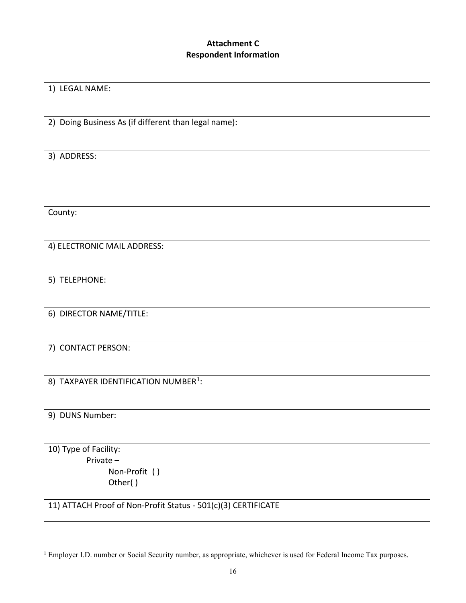# **Attachment C Respondent Information**

| 1) LEGAL NAME:                                                |
|---------------------------------------------------------------|
|                                                               |
| 2) Doing Business As (if different than legal name):          |
|                                                               |
| 3) ADDRESS:                                                   |
|                                                               |
|                                                               |
| County:                                                       |
|                                                               |
| 4) ELECTRONIC MAIL ADDRESS:                                   |
|                                                               |
| 5) TELEPHONE:                                                 |
|                                                               |
| 6) DIRECTOR NAME/TITLE:                                       |
|                                                               |
| 7) CONTACT PERSON:                                            |
|                                                               |
| 8) TAXPAYER IDENTIFICATION NUMBER <sup>1</sup> :              |
|                                                               |
| 9) DUNS Number:                                               |
|                                                               |
| 10) Type of Facility:<br>Private-                             |
| Non-Profit ()                                                 |
| Other()                                                       |
| 11) ATTACH Proof of Non-Profit Status - 501(c)(3) CERTIFICATE |
|                                                               |

<span id="page-15-0"></span><sup>&</sup>lt;sup>1</sup> Employer I.D. number or Social Security number, as appropriate, whichever is used for Federal Income Tax purposes.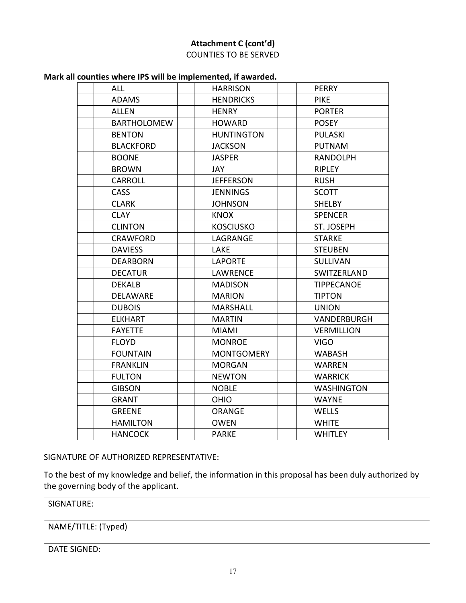## **Attachment C (cont'd)** COUNTIES TO BE SERVED

| <b>ALL</b>         | <b>HARRISON</b>   | <b>PERRY</b>      |
|--------------------|-------------------|-------------------|
| <b>ADAMS</b>       | <b>HENDRICKS</b>  | <b>PIKE</b>       |
| <b>ALLEN</b>       | <b>HENRY</b>      | <b>PORTER</b>     |
| <b>BARTHOLOMEW</b> | <b>HOWARD</b>     | <b>POSEY</b>      |
| <b>BENTON</b>      | <b>HUNTINGTON</b> | <b>PULASKI</b>    |
| <b>BLACKFORD</b>   | <b>JACKSON</b>    | <b>PUTNAM</b>     |
| <b>BOONE</b>       | <b>JASPER</b>     | <b>RANDOLPH</b>   |
| <b>BROWN</b>       | <b>JAY</b>        | RIPLEY            |
| <b>CARROLL</b>     | <b>JEFFERSON</b>  | <b>RUSH</b>       |
| <b>CASS</b>        | <b>JENNINGS</b>   | <b>SCOTT</b>      |
| <b>CLARK</b>       | <b>JOHNSON</b>    | SHELBY            |
| <b>CLAY</b>        | <b>KNOX</b>       | <b>SPENCER</b>    |
| <b>CLINTON</b>     | <b>KOSCIUSKO</b>  | ST. JOSEPH        |
| <b>CRAWFORD</b>    | LAGRANGE          | <b>STARKE</b>     |
| <b>DAVIESS</b>     | <b>LAKE</b>       | <b>STEUBEN</b>    |
| <b>DEARBORN</b>    | <b>LAPORTE</b>    | <b>SULLIVAN</b>   |
| <b>DECATUR</b>     | <b>LAWRENCE</b>   | SWITZERLAND       |
| <b>DEKALB</b>      | <b>MADISON</b>    | <b>TIPPECANOE</b> |
| DELAWARE           | <b>MARION</b>     | <b>TIPTON</b>     |
| <b>DUBOIS</b>      | <b>MARSHALL</b>   | <b>UNION</b>      |
| <b>ELKHART</b>     | <b>MARTIN</b>     | VANDERBURGH       |
| <b>FAYETTE</b>     | <b>MIAMI</b>      | <b>VERMILLION</b> |
| <b>FLOYD</b>       | <b>MONROE</b>     | <b>VIGO</b>       |
| <b>FOUNTAIN</b>    | <b>MONTGOMERY</b> | <b>WABASH</b>     |
| <b>FRANKLIN</b>    | <b>MORGAN</b>     | <b>WARREN</b>     |
| <b>FULTON</b>      | <b>NEWTON</b>     | <b>WARRICK</b>    |
| <b>GIBSON</b>      | <b>NOBLE</b>      | <b>WASHINGTON</b> |
| <b>GRANT</b>       | <b>OHIO</b>       | <b>WAYNE</b>      |
| <b>GREENE</b>      | <b>ORANGE</b>     | <b>WELLS</b>      |
| <b>HAMILTON</b>    | <b>OWEN</b>       | <b>WHITE</b>      |
| <b>HANCOCK</b>     | <b>PARKE</b>      | <b>WHITLEY</b>    |

SIGNATURE OF AUTHORIZED REPRESENTATIVE:

To the best of my knowledge and belief, the information in this proposal has been duly authorized by the governing body of the applicant.

SIGNATURE:

NAME/TITLE: (Typed)

DATE SIGNED: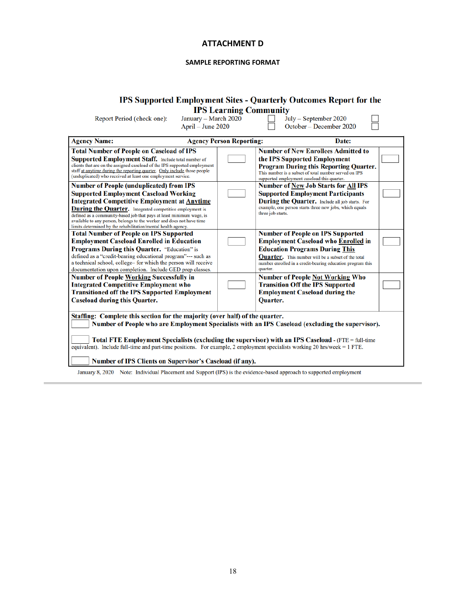### **ATTACHMENT D**

#### **SAMPLE REPORTING FORMAT**

## IPS Supported Employment Sites - Quarterly Outcomes Report for the

**IPS Learning Community**<br>January – March 2020  $\Box$  Jul<br>April – June 2020  $\Box$  Oc

Report Period (check one):

July – September 2020<br>October – December 2020

H

| <b>Agency Name:</b>                                                                                                                                                                                                                                                                                                                                                                                                                                                                      | <b>Agency Person Reporting:</b> | Date:                                                                                                                                                                                                                                                                                                             |  |  |
|------------------------------------------------------------------------------------------------------------------------------------------------------------------------------------------------------------------------------------------------------------------------------------------------------------------------------------------------------------------------------------------------------------------------------------------------------------------------------------------|---------------------------------|-------------------------------------------------------------------------------------------------------------------------------------------------------------------------------------------------------------------------------------------------------------------------------------------------------------------|--|--|
| <b>Total Number of People on Caseload of IPS</b><br><b>Supported Employment Staff.</b> Include total number of<br>clients that are on the assigned caseload of the IPS supported employment<br>staff at anytime during the reporting quarter. Only include those people<br>(unduplicated) who received at least one employment service.                                                                                                                                                  |                                 | <b>Number of New Enrollees Admitted to</b><br>the IPS Supported Employment<br><b>Program During this Reporting Quarter.</b><br>This number is a subset of total number served on IPS<br>supported employment caseload this quarter.                                                                               |  |  |
| <b>Number of People (unduplicated) from IPS</b><br><b>Supported Employment Caseload Working</b><br><b>Integrated Competitive Employment at Anytime</b><br><b>During the Quarter.</b> Integrated competitive employment is<br>defined as a community-based job that pays at least minimum wage, is<br>available to any person, belongs to the worker and does not have time<br>limits determined by the rehabilitation/mental health agency.                                              |                                 | <b>Number of New Job Starts for All IPS</b><br><b>Supported Employment Participants</b><br><b>During the Quarter.</b> Include all job starts. For<br>example, one person starts three new jobs, which equals<br>three job starts.                                                                                 |  |  |
| <b>Total Number of People on IPS Supported</b><br><b>Employment Caseload Enrolled in Education</b><br><b>Programs During this Quarter.</b> "Education" is<br>defined as a "credit-bearing educational program"--- such as<br>a technical school, college- for which the person will receive<br>documentation upon completion. Include GED prep classes.<br><b>Number of People Working Successfully in</b>                                                                               |                                 | <b>Number of People on IPS Supported</b><br><b>Employment Caseload who Enrolled in</b><br><b>Education Programs During This</b><br><b>Quarter.</b> This number will be a subset of the total<br>number enrolled in a credit-bearing education program this<br>quarter.<br><b>Number of People Not Working Who</b> |  |  |
| <b>Integrated Competitive Employment who</b><br><b>Transitioned off the IPS Supported Employment</b><br><b>Caseload during this Quarter.</b>                                                                                                                                                                                                                                                                                                                                             |                                 | <b>Transition Off the IPS Supported</b><br><b>Employment Caseload during the</b><br><b>Ouarter.</b>                                                                                                                                                                                                               |  |  |
| Staffing: Complete this section for the majority (over half) of the quarter.<br>Number of People who are Employment Specialists with an IPS Caseload (excluding the supervisor).<br>Total FTE Employment Specialists (excluding the supervisor) with an IPS Caseload - (FTE = full-time<br>equivalent). Include full-time and part-time positions. For example, 2 employment specialists working 20 hrs/week = 1 FTE.<br><b>Number of IPS Clients on Supervisor's Caseload (if any).</b> |                                 |                                                                                                                                                                                                                                                                                                                   |  |  |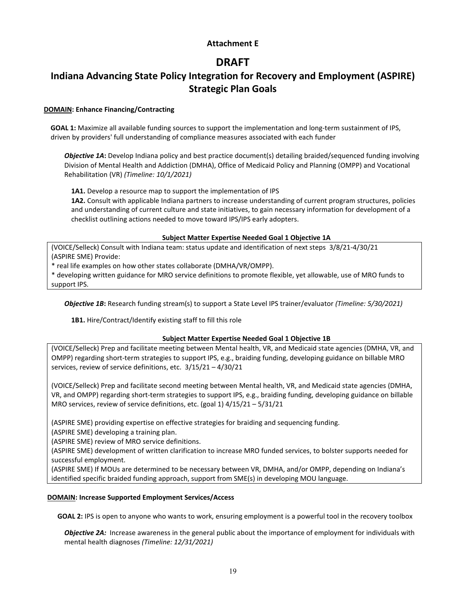### **Attachment E**

# **DRAFT**

# **Indiana Advancing State Policy Integration for Recovery and Employment (ASPIRE) Strategic Plan Goals**

### **DOMAIN: Enhance Financing/Contracting**

**GOAL 1:** Maximize all available funding sources to support the implementation and long-term sustainment of IPS, driven by providers' full understanding of compliance measures associated with each funder

*Objective 1A***:** Develop Indiana policy and best practice document(s) detailing braided/sequenced funding involving Division of Mental Health and Addiction (DMHA), Office of Medicaid Policy and Planning (OMPP) and Vocational Rehabilitation (VR) *(Timeline: 10/1/2021)*

1A1. Develop a resource map to support the implementation of IPS

**1A2.** Consult with applicable Indiana partners to increase understanding of current program structures, policies and understanding of current culture and state initiatives, to gain necessary information for development of a checklist outlining actions needed to move toward IPS/IPS early adopters.

### **Subject Matter Expertise Needed Goal 1 Objective 1A**

(VOICE/Selleck) Consult with Indiana team: status update and identification of next steps 3/8/21-4/30/21 (ASPIRE SME) Provide:

\* real life examples on how other states collaborate (DMHA/VR/OMPP).

\* developing written guidance for MRO service definitions to promote flexible, yet allowable, use of MRO funds to support IPS.

*Objective 1B***:** Research funding stream(s) to support a State Level IPS trainer/evaluator *(Timeline: 5/30/2021)*

**1B1.** Hire/Contract/Identify existing staff to fill this role

### **Subject Matter Expertise Needed Goal 1 Objective 1B**

(VOICE/Selleck) Prep and facilitate meeting between Mental health, VR, and Medicaid state agencies (DMHA, VR, and OMPP) regarding short-term strategies to support IPS, e.g., braiding funding, developing guidance on billable MRO services, review of service definitions, etc. 3/15/21 – 4/30/21

(VOICE/Selleck) Prep and facilitate second meeting between Mental health, VR, and Medicaid state agencies (DMHA, VR, and OMPP) regarding short-term strategies to support IPS, e.g., braiding funding, developing guidance on billable MRO services, review of service definitions, etc. (goal 1) 4/15/21 – 5/31/21

(ASPIRE SME) providing expertise on effective strategies for braiding and sequencing funding.

(ASPIRE SME) developing a training plan.

(ASPIRE SME) review of MRO service definitions.

(ASPIRE SME) development of written clarification to increase MRO funded services, to bolster supports needed for successful employment.

(ASPIRE SME) If MOUs are determined to be necessary between VR, DMHA, and/or OMPP, depending on Indiana's identified specific braided funding approach, support from SME(s) in developing MOU language.

### **DOMAIN: Increase Supported Employment Services/Access**

**GOAL 2:** IPS is open to anyone who wants to work, ensuring employment is a powerful tool in the recovery toolbox

*Objective 2A:* Increase awareness in the general public about the importance of employment for individuals with mental health diagnoses *(Timeline: 12/31/2021)*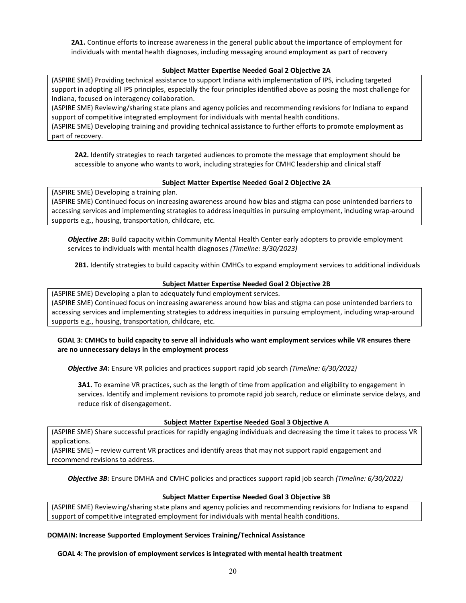**2A1.** Continue efforts to increase awareness in the general public about the importance of employment for individuals with mental health diagnoses, including messaging around employment as part of recovery

### **Subject Matter Expertise Needed Goal 2 Objective 2A**

(ASPIRE SME) Providing technical assistance to support Indiana with implementation of IPS, including targeted support in adopting all IPS principles, especially the four principles identified above as posing the most challenge for Indiana, focused on interagency collaboration.

(ASPIRE SME) Reviewing/sharing state plans and agency policies and recommending revisions for Indiana to expand support of competitive integrated employment for individuals with mental health conditions.

(ASPIRE SME) Developing training and providing technical assistance to further efforts to promote employment as part of recovery.

**2A2.** Identify strategies to reach targeted audiences to promote the message that employment should be accessible to anyone who wants to work, including strategies for CMHC leadership and clinical staff

### **Subject Matter Expertise Needed Goal 2 Objective 2A**

(ASPIRE SME) Developing a training plan.

(ASPIRE SME) Continued focus on increasing awareness around how bias and stigma can pose unintended barriers to accessing services and implementing strategies to address inequities in pursuing employment, including wrap-around supports e.g., housing, transportation, childcare, etc.

*Objective 2B***:** Build capacity within Community Mental Health Center early adopters to provide employment services to individuals with mental health diagnoses *(Timeline: 9/30/2023)*

**2B1.** Identify strategies to build capacity within CMHCs to expand employment services to additional individuals

### **Subject Matter Expertise Needed Goal 2 Objective 2B**

(ASPIRE SME) Developing a plan to adequately fund employment services. (ASPIRE SME) Continued focus on increasing awareness around how bias and stigma can pose unintended barriers to accessing services and implementing strategies to address inequities in pursuing employment, including wrap-around supports e.g., housing, transportation, childcare, etc.

### **GOAL 3: CMHCs to build capacity to serve all individuals who want employment services while VR ensures there are no unnecessary delays in the employment process**

*Objective 3A***:** Ensure VR policies and practices support rapid job search *(Timeline: 6/30/2022)*

**3A1.** To examine VR practices, such as the length of time from application and eligibility to engagement in services. Identify and implement revisions to promote rapid job search, reduce or eliminate service delays, and reduce risk of disengagement.

#### **Subject Matter Expertise Needed Goal 3 Objective A**

(ASPIRE SME) Share successful practices for rapidly engaging individuals and decreasing the time it takes to process VR applications.

(ASPIRE SME) – review current VR practices and identify areas that may not support rapid engagement and recommend revisions to address.

*Objective 3B:* Ensure DMHA and CMHC policies and practices support rapid job search *(Timeline: 6/30/2022)*

#### **Subject Matter Expertise Needed Goal 3 Objective 3B**

(ASPIRE SME) Reviewing/sharing state plans and agency policies and recommending revisions for Indiana to expand support of competitive integrated employment for individuals with mental health conditions.

#### **DOMAIN: Increase Supported Employment Services Training/Technical Assistance**

**GOAL 4: The provision of employment services is integrated with mental health treatment**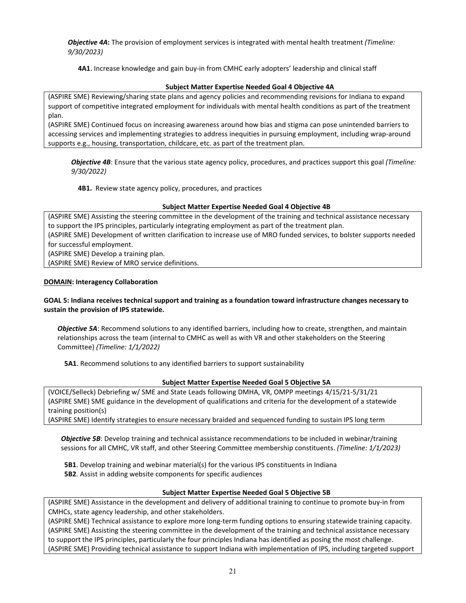*Objective 4A***:** The provision of employment services is integrated with mental health treatment *(Timeline: 9/30/2023)*

**4A1**. Increase knowledge and gain buy-in from CMHC early adopters' leadership and clinical staff

### **Subject Matter Expertise Needed Goal 4 Objective 4A**

(ASPIRE SME) Reviewing/sharing state plans and agency policies and recommending revisions for Indiana to expand support of competitive integrated employment for individuals with mental health conditions as part of the treatment plan.

(ASPIRE SME) Continued focus on increasing awareness around how bias and stigma can pose unintended barriers to accessing services and implementing strategies to address inequities in pursuing employment, including wrap-around supports e.g., housing, transportation, childcare, etc. as part of the treatment plan.

*Objective 4B*: Ensure that the various state agency policy, procedures, and practices support this goal *(Timeline: 9/30/2022)*

**4B1.** Review state agency policy, procedures, and practices

### **Subject Matter Expertise Needed Goal 4 Objective 4B**

(ASPIRE SME) Assisting the steering committee in the development of the training and technical assistance necessary to support the IPS principles, particularly integrating employment as part of the treatment plan.

(ASPIRE SME) Development of written clarification to increase use of MRO funded services, to bolster supports needed for successful employment.

(ASPIRE SME) Develop a training plan.

(ASPIRE SME) Review of MRO service definitions.

### **DOMAIN: Interagency Collaboration**

### **GOAL 5: Indiana receives technical support and training as a foundation toward infrastructure changes necessary to sustain the provision of IPS statewide.**

*Objective 5A*: Recommend solutions to any identified barriers, including how to create, strengthen, and maintain relationships across the team (internal to CMHC as well as with VR and other stakeholders on the Steering Committee) *(Timeline: 1/1/2022)*

**5A1**. Recommend solutions to any identified barriers to support sustainability

### **Subject Matter Expertise Needed Goal 5 Objective 5A**

(VOICE/Selleck) Debriefing w/ SME and State Leads following DMHA, VR, OMPP meetings 4/15/21-5/31/21 (ASPIRE SME) SME guidance in the development of qualifications and criteria for the development of a statewide training position(s)

(ASPIRE SME) Identify strategies to ensure necessary braided and sequenced funding to sustain IPS long term

**Objective 5B**: Develop training and technical assistance recommendations to be included in webinar/training sessions for all CMHC, VR staff, and other Steering Committee membership constituents. *(Timeline: 1/1/2023)*

**5B1**. Develop training and webinar material(s) for the various IPS constituents in Indiana

**5B2**. Assist in adding website components for specific audiences

### **Subject Matter Expertise Needed Goal 5 Objective 5B**

(ASPIRE SME) Assistance in the development and delivery of additional training to continue to promote buy-in from CMHCs, state agency leadership, and other stakeholders.

(ASPIRE SME) Technical assistance to explore more long-term funding options to ensuring statewide training capacity. (ASPIRE SME) Assisting the steering committee in the development of the training and technical assistance necessary to support the IPS principles, particularly the four principles Indiana has identified as posing the most challenge. (ASPIRE SME) Providing technical assistance to support Indiana with implementation of IPS, including targeted support